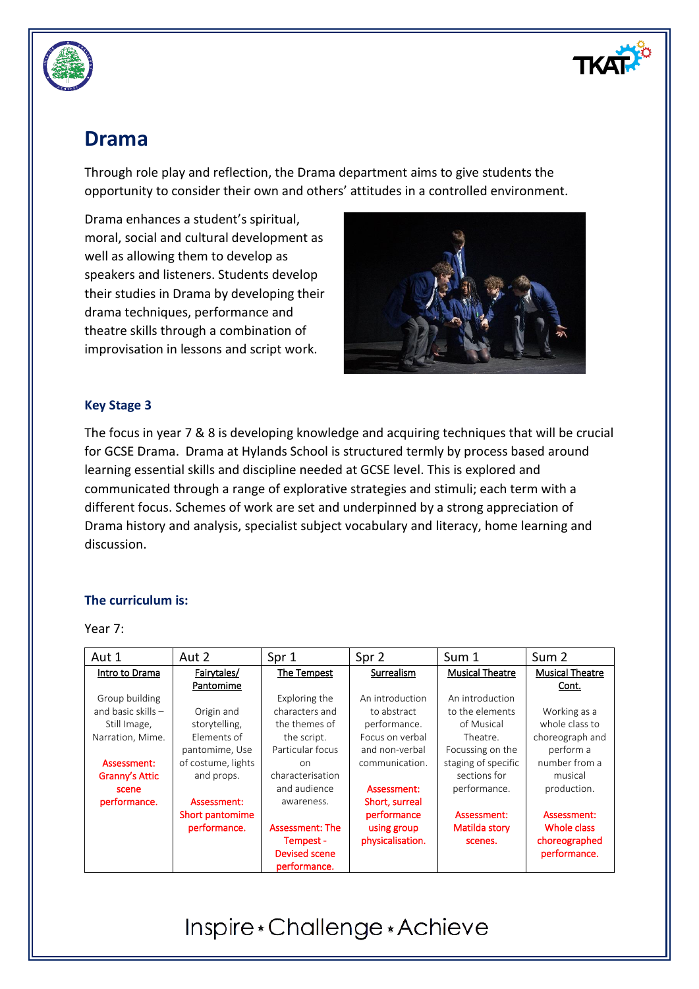

# **Drama**

Through role play and reflection, the Drama department aims to give students the opportunity to consider their own and others' attitudes in a controlled environment.

Drama enhances a student's spiritual, moral, social and cultural development as well as allowing them to develop as speakers and listeners. Students develop their studies in Drama by developing their drama techniques, performance and theatre skills through a combination of improvisation in lessons and script work.



## **Key Stage 3**

The focus in year 7 & 8 is developing knowledge and acquiring techniques that will be crucial for GCSE Drama. Drama at Hylands School is structured termly by process based around learning essential skills and discipline needed at GCSE level. This is explored and communicated through a range of explorative strategies and stimuli; each term with a different focus. Schemes of work are set and underpinned by a strong appreciation of Drama history and analysis, specialist subject vocabulary and literacy, home learning and discussion.

## **The curriculum is:**

#### Year 7:

| Aut 1                | Aut 2              | Spr 1                  | Spr 2            | Sum 1                  | Sum 2                  |
|----------------------|--------------------|------------------------|------------------|------------------------|------------------------|
| Intro to Drama       | Fairytales/        | The Tempest            | Surrealism       | <b>Musical Theatre</b> | <b>Musical Theatre</b> |
|                      | Pantomime          |                        |                  |                        | Cont.                  |
| Group building       |                    | Exploring the          | An introduction  | An introduction        |                        |
| and basic skills $-$ | Origin and         | characters and         | to abstract      | to the elements        | Working as a           |
| Still Image,         | storytelling,      | the themes of          | performance.     | of Musical             | whole class to         |
| Narration, Mime.     | Elements of        | the script.            | Focus on verbal  | Theatre.               | choreograph and        |
|                      | pantomime, Use     | Particular focus       | and non-verbal   | Focussing on the       | perform a              |
| Assessment:          | of costume, lights | on                     | communication.   | staging of specific    | number from a          |
| Granny's Attic       | and props.         | characterisation       |                  | sections for           | musical                |
| scene                |                    | and audience           | Assessment:      | performance.           | production.            |
| performance.         | Assessment:        | awareness.             | Short, surreal   |                        |                        |
|                      | Short pantomime    |                        | performance      | Assessment:            | Assessment:            |
|                      | performance.       | <b>Assessment: The</b> | using group      | Matilda story          | Whole class            |
|                      |                    | Tempest -              | physicalisation. | scenes.                | choreographed          |
|                      |                    | Devised scene          |                  |                        | performance.           |
|                      |                    | performance.           |                  |                        |                        |

# Inspire \* Challenge \* Achieve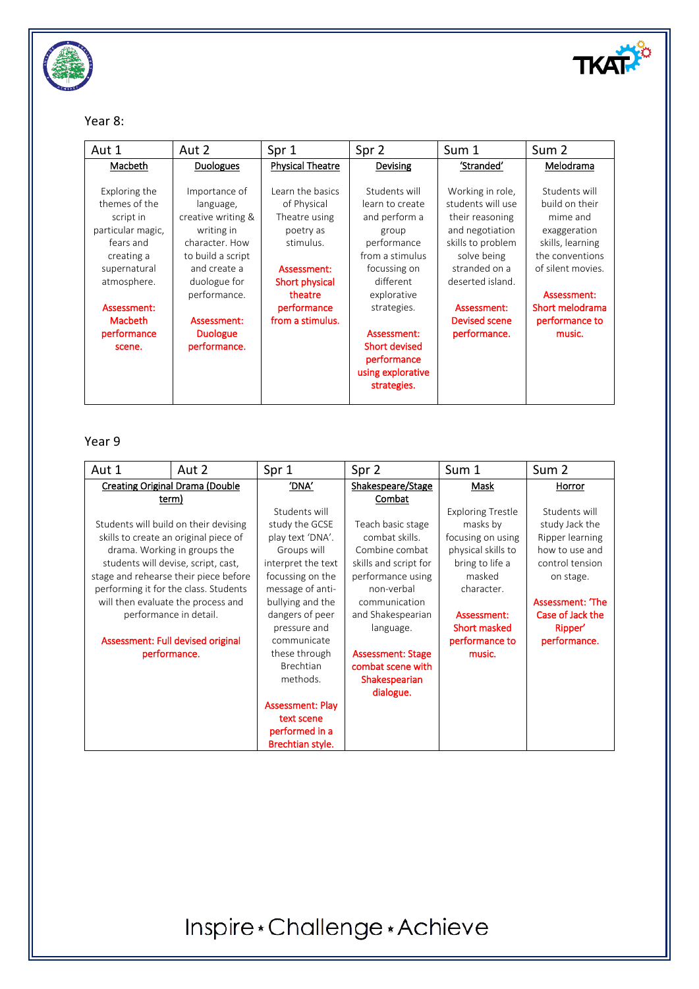

### Year 8:

| Aut 1                                                                                                                                                                                | Aut 2                                                                                                                                                                                                   | Spr 1                                                                                                                                                     | Spr 2                                                                                                                                                                                                                                             | Sum 1                                                                                                                                                                                                       | Sum <sub>2</sub>                                                                                                                                                                      |
|--------------------------------------------------------------------------------------------------------------------------------------------------------------------------------------|---------------------------------------------------------------------------------------------------------------------------------------------------------------------------------------------------------|-----------------------------------------------------------------------------------------------------------------------------------------------------------|---------------------------------------------------------------------------------------------------------------------------------------------------------------------------------------------------------------------------------------------------|-------------------------------------------------------------------------------------------------------------------------------------------------------------------------------------------------------------|---------------------------------------------------------------------------------------------------------------------------------------------------------------------------------------|
| Macbeth                                                                                                                                                                              | <b>Duologues</b>                                                                                                                                                                                        | <b>Physical Theatre</b>                                                                                                                                   | Devising                                                                                                                                                                                                                                          | 'Stranded'                                                                                                                                                                                                  | Melodrama                                                                                                                                                                             |
| Exploring the<br>themes of the<br>script in<br>particular magic,<br>fears and<br>creating a<br>supernatural<br>atmosphere.<br>Assessment:<br><b>Macbeth</b><br>performance<br>scene. | Importance of<br>language,<br>creative writing &<br>writing in<br>character. How<br>to build a script<br>and create a<br>duologue for<br>performance.<br>Assessment:<br><b>Duologue</b><br>performance. | Learn the basics<br>of Physical<br>Theatre using<br>poetry as<br>stimulus.<br>Assessment:<br>Short physical<br>theatre<br>performance<br>from a stimulus. | Students will<br>learn to create<br>and perform a<br>group<br>performance<br>from a stimulus<br>focussing on<br>different<br>explorative<br>strategies.<br>Assessment:<br><b>Short devised</b><br>performance<br>using explorative<br>strategies. | Working in role,<br>students will use<br>their reasoning<br>and negotiation<br>skills to problem<br>solve being<br>stranded on a<br>deserted island.<br>Assessment:<br><b>Devised scene</b><br>performance. | Students will<br>build on their<br>mime and<br>exaggeration<br>skills, learning<br>the conventions<br>of silent movies.<br>Assessment:<br>Short melodrama<br>performance to<br>music. |

## Year 9

| Aut 1                                  | Aut 2                                 | Spr 1                   | Spr 2                    | Sum 1                    | Sum 2            |
|----------------------------------------|---------------------------------------|-------------------------|--------------------------|--------------------------|------------------|
| <b>Creating Original Drama (Double</b> |                                       | 'DNA'                   | Shakespeare/Stage        | Mask                     | Horror           |
| term)                                  |                                       |                         | Combat                   |                          |                  |
|                                        |                                       | Students will           |                          | <b>Exploring Trestle</b> | Students will    |
|                                        | Students will build on their devising | study the GCSE          | Teach basic stage        | masks by                 | study Jack the   |
| skills to create an original piece of  |                                       | play text 'DNA'.        | combat skills.           | focusing on using        | Ripper learning  |
| drama. Working in groups the           |                                       | Groups will             | Combine combat           | physical skills to       | how to use and   |
| students will devise, script, cast,    |                                       | interpret the text      | skills and script for    | bring to life a          | control tension  |
| stage and rehearse their piece before  |                                       | focussing on the        | performance using        | masked                   | on stage.        |
| performing it for the class. Students  |                                       | message of anti-        | non-verbal               | character.               |                  |
| will then evaluate the process and     |                                       | bullying and the        | communication            |                          | Assessment: 'The |
|                                        | performance in detail.                | dangers of peer         | and Shakespearian        | Assessment:              | Case of Jack the |
|                                        |                                       | pressure and            | language.                | <b>Short masked</b>      | Ripper'          |
| Assessment: Full devised original      |                                       | communicate             |                          | performance to           | performance.     |
| performance.                           |                                       | these through           | <b>Assessment: Stage</b> | music.                   |                  |
|                                        |                                       | <b>Brechtian</b>        | combat scene with        |                          |                  |
|                                        |                                       | methods.                | Shakespearian            |                          |                  |
|                                        |                                       |                         | dialogue.                |                          |                  |
|                                        |                                       | <b>Assessment: Play</b> |                          |                          |                  |
|                                        |                                       | text scene              |                          |                          |                  |
|                                        |                                       | performed in a          |                          |                          |                  |
|                                        |                                       | Brechtian style.        |                          |                          |                  |

# Inspire\*Challenge\*Achieve